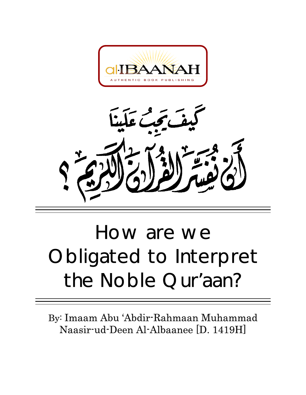



# How are we Obligated to Interpret the Noble Qur'aan?

By: Imaam Abu 'Abdir-Rahmaan Muhammad Naasir-ud-Deen Al-Albaanee [D. 1419H]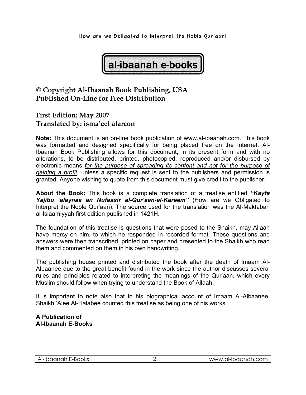

## **© Copyright Al-Ibaanah Book Publishing, USA Published On-Line for Free Distribution**

## **First Edition: May 2007 Translated by: isma'eel alarcon**

**Note:** This document is an on-line book publication of www.al-ibaanah.com. This book was formatted and designed specifically for being placed free on the Internet. Al-Ibaanah Book Publishing allows for this document, in its present form and with no alterations, to be distributed, printed, photocopied, reproduced and/or disbursed by electronic means *for the purpose of spreading its content and not for the purpose of gaining a profit,* unless a specific request is sent to the publishers and permission is granted. Anyone wishing to quote from this document must give credit to the publisher.

**About the Book:** This book is a complete translation of a treatise entitled *"Kayfa Yajibu 'alaynaa an Nufassir al-Qur'aan-al-Kareem"* (How are we Obligated to Interpret the Noble Qur'aan). The source used for the translation was the Al-Maktabah al-Islaamiyyah first edition published in 1421H.

The foundation of this treatise is questions that were posed to the Shaikh, may Allaah have mercy on him, to which he responded in recorded format. These questions and answers were then transcribed, printed on paper and presented to the Shaikh who read them and commented on them in his own handwriting.

The publishing house printed and distributed the book after the death of Imaam Al-Albaanee due to the great benefit found in the work since the author discusses several rules and principles related to interpreting the meanings of the Qur'aan, which every Muslim should follow when trying to understand the Book of Allaah.

It is important to note also that in his biographical account of Imaam Al-Albaanee, Shaikh 'Alee Al-Halabee counted this treatise as being one of his works.

### **A Publication of Al-Ibaanah E-Books**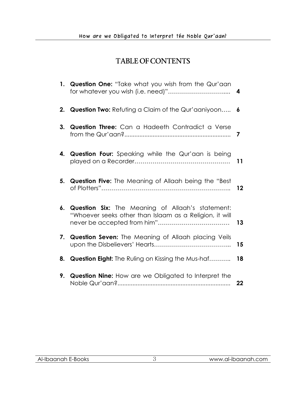## TABLE OF CONTENTS

|    | 1. Question One: "Take what you wish from the Qur'aan                                                              | 4  |
|----|--------------------------------------------------------------------------------------------------------------------|----|
| 2. | <b>Question Two:</b> Refuting a Claim of the Qur'aaniyoon                                                          | 6  |
| 3. | Question Three: Can a Hadeeth Contradict a Verse                                                                   | 7  |
|    | 4. Question Four: Speaking while the Qur'aan is being                                                              | 11 |
| 5. | Question Five: The Meaning of Allaah being the "Best                                                               | 12 |
| 6. | <b>Question Six:</b> The Meaning of Allaah's statement:<br>"Whoever seeks other than Islaam as a Religion, it will | 13 |
|    | 7. Question Seven: The Meaning of Allaah placing Veils                                                             | 15 |
| 8. | <b>Question Eight:</b> The Ruling on Kissing the Mus-haf                                                           | 18 |
| 9. | Question Nine: How are we Obligated to Interpret the                                                               | 22 |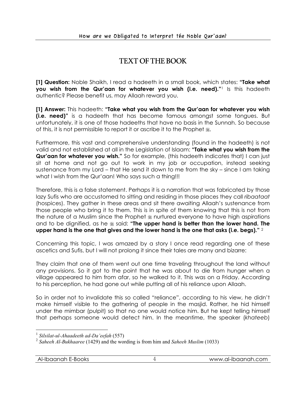## TEXT OF THE BOOK

**[1] Question:** Noble Shaikh, I read a hadeeth in a small book, which states: **"Take what you wish from the Qur'aan for whatever you wish (i.e. need)."**1 Is this hadeeth authentic? Please benefit us, may Allaah reward you.

**[1] Answer:** This hadeeth: **"Take what you wish from the Qur'aan for whatever you wish (i.e. need)"** is a hadeeth that has become famous amongst some tongues. But unfortunately, it is one of those hadeeths that have no basis in the Sunnah. So because of this, it is not permissible to report it or ascribe it to the Prophet  $\ddot{\mathbf{x}}$ .

Furthermore, this vast and comprehensive understanding (found in the hadeeth) is not valid and not established at all in the Legislation of Islaam: **"Take what you wish from the Qur'aan for whatever you wish."** So for example, (this hadeeth indicates that) I can just sit at home and not go out to work in my job or occupation, instead seeking sustenance from my Lord – that He send it down to me from the sky – since I am taking what I wish from the Qur'aan! Who says such a thing!!!

Therefore, this is a false statement. Perhaps it is a narration that was fabricated by those lazy Sufis who are accustomed to sitting and residing in those places they call *ribaataat*  (hospices). They gather in these areas and sit there awaiting Allaah's sustenance from those people who bring it to them. This is in spite of them knowing that this is not from the nature of a Muslim since the Prophet  $*$  nurtured everyone to have high aspirations and to be dignified, as he  $*$  said: "The upper hand is better than the lower hand. The **upper hand is the one that gives and the lower hand is the one that asks (i.e. begs)."** <sup>2</sup>

Concerning this topic, I was amazed by a story I once read regarding one of these ascetics and Sufis, but I will not prolong it since their tales are many and bizarre:

They claim that one of them went out one time traveling throughout the land without any provisions. So it got to the point that he was about to die from hunger when a village appeared to him from afar, so he walked to it. This was on a Friday. According to his perception, he had gone out while putting all of his reliance upon Allaah.

So in order not to invalidate this so called "reliance", according to his view, he didn't make himself visible to the gathering of people in the masjid. Rather, he hid himself under the mimbar (pulpit) so that no one would notice him. But he kept telling himself that perhaps someone would detect him. In the meantime, the speaker (*khateeb*)

<sup>1</sup> *Silsilat-ul-Ahaadeeth ad-Da'eefah* (557)

<sup>2</sup> *Saheeh Al-Bukhaaree* (1429) and the wording is from him and *Saheeh Muslim* (1033)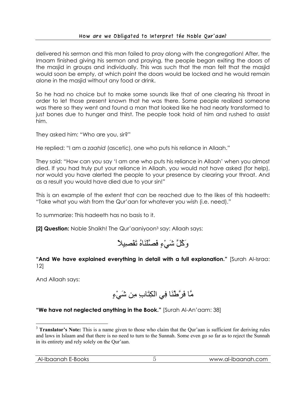#### How are we Obligated to Interpret the Noble Qur**'**aan?

delivered his sermon and this man failed to pray along with the congregation! After, the Imaam finished giving his sermon and praying, the people began exiting the doors of the masjid in groups and individually. This was such that the man felt that the masjid would soon be empty, at which point the doors would be locked and he would remain alone in the masjid without any food or drink.

So he had no choice but to make some sounds like that of one clearing his throat in order to let those present known that he was there. Some people realized someone was there so they went and found a man that looked like he had nearly transformed to just bones due to hunger and thirst. The people took hold of him and rushed to assist him.

They asked him: "Who are you, sir?"

He replied: "I am a *zaahid* (ascetic), one who puts his reliance in Allaah."

They said: "How can you say 'I am one who puts his reliance in Allaah' when you almost died. If you had truly put your reliance in Allaah, you would not have asked (for help), nor would you have alerted the people to your presence by clearing your throat. And as a result you would have died due to your sin!"

This is an example of the extent that can be reached due to the likes of this hadeeth: "Take what you wish from the Qur'aan for whatever you wish (i.e. need)."

To summarize: This hadeeth has no basis to it.

**[2] Question:** Noble Shaikh! The Qur'aaniyoon3 say: Allaah says:



**"And We have explained everything in detail with a full explanation."** [Surah Al-Israa: 12]

And Allaah says:

مَّا فَرَّطْنَا فِي الكِتَابِ مِن شَيْءٍ

**"We have not neglected anything in the Book."** [Surah Al-An'aam: 38]

 $\overline{a}$ <sup>3</sup> **Translator's Note:** This is a name given to those who claim that the Qur'aan is sufficient for deriving rules and laws in Islaam and that there is no need to turn to the Sunnah. Some even go so far as to reject the Sunnah in its entirety and rely solely on the Qur'aan.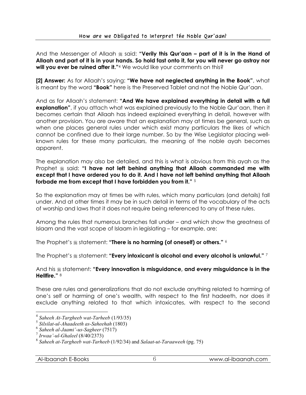And the Messenger of Allaah  $*$  said: "Verily this Qur'aan – part of it is in the Hand of **Allaah and part of it is in your hands. So hold fast onto it, for you will never go astray nor will you ever be ruined after it."**<sup>4</sup> We would like your comments on this?

**[2] Answer:** As for Allaah's saying: **"We have not neglected anything in the Book"**, what is meant by the word **"Book"** here is the Preserved Tablet and not the Noble Qur'aan.

And as for Allaah's statement: **"And We have explained everything in detail with a full explanation"**, if you attach what was explained previously to the Noble Qur'aan, then it becomes certain that Allaah has indeed explained everything in detail, however with another provision. You are aware that an explanation may at times be general, such as when one places general rules under which exist many particulars the likes of which cannot be confined due to their large number. So by the Wise Legislator placing wellknown rules for these many particulars, the meaning of the noble ayah becomes apparent.

The explanation may also be detailed, and this is what is obvious from this ayah as the Prophet  $\triangleq$  said: "I have not left behind anything that Allaah commanded me with **except that I have ordered you to do it. And I have not left behind anything that Allaah forbade me from except that I have forbidden you from it."** <sup>5</sup>

So the explanation may at times be with rules, which many particulars (and details) fall under. And at other times it may be in such detail in terms of the vocabulary of the acts of worship and laws that it does not require being referenced to any of these rules.

Among the rules that numerous branches fall under – and which show the greatness of Islaam and the vast scope of Islaam in legislating – for example, are:

The Prophet's  $\frac{m}{2}$  statement: "There is no harming (of oneself) or others."  $6$ 

Ihe Prophet's  $\frac{1}{2}$  statement: "**Every intoxicant is alcohol and every alcohol is unlawful."** <sup>7</sup>

And his  $\frac{1}{2}$  statement: "Every innovation is misguidance, and every misguidance is in the **Hellfire."** <sup>8</sup>

These are rules and generalizations that do not exclude anything related to harming of one's self or harming of one's wealth, with respect to the first hadeeth, nor does it exclude anything related to that which intoxicates, with respect to the second

<sup>4</sup> *Saheeh At-Targheeb wat-Tarheeb* (1/93/35)

<sup>5</sup> *Silsilat-ul-Ahaadeeth as-Saheehah* (1803)

<sup>6</sup> *Saheeh al-Jaami'-us-Sagheer* (7517)

<sup>7</sup> *Irwaa'-ul-Ghaleel* (8/40/2373)

<sup>8</sup> *Saheeh at-Targheeb wat-Tarheeb* (1/92/34) and *Salaat-ut-Taraaweeh* (pg. 75)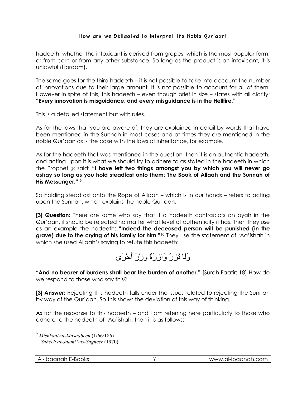hadeeth, whether the intoxicant is derived from grapes, which is the most popular form, or from corn or from any other substance. So long as the product is an intoxicant, it is unlawful (Haraam).

The same goes for the third hadeeth – it is not possible to take into account the number of innovations due to their large amount. It is not possible to account for all of them. However in spite of this, this hadeeth – even though brief in size – states with all clarity: **"Every innovation is misguidance, and every misguidance is in the Hellfire."**

This is a detailed statement but with rules.

As for the laws that you are aware of, they are explained in detail by words that have been mentioned in the Sunnah in most cases and at times they are mentioned in the noble Qur'aan as is the case with the laws of inheritance, for example.

As for the hadeeth that was mentioned in the question, then it is an authentic hadeeth, and acting upon it is what we should try to adhere to as stated in the hadeeth in which the Prophet  $\frac{1}{28}$  said: "I have left two things amongst you by which you will never go **astray so long as you hold steadfast onto them: The Book of Allaah and the Sunnah of His Messenger."** <sup>9</sup>

So holding steadfast onto the Rope of Allaah – which is in our hands – refers to acting upon the Sunnah, which explains the noble Qur'aan.

**[3] Question:** There are some who say that if a hadeeth contradicts an ayah in the Qur'aan, it should be rejected no matter what level of authenticity it has. Then they use as an example the hadeeth: **"Indeed the deceased person will be punished (in the**  grave) due to the crying of his family for him."<sup>10</sup> They use the statement of 'Aa'ishah in which she used Allaah's saying to refute this hadeeth:

# وَلَا تَزِرُ وَازِرَةٌ وِزْرَ أُخْرَى

**"And no bearer of burdens shall bear the burden of another."** [Surah Faatir: 18] How do we respond to those who say this?

**[3] Answer:** Rejecting this hadeeth falls under the issues related to rejecting the Sunnah by way of the Qur'aan. So this shows the deviation of this way of thinking.

As for the response to this hadeeth – and I am referring here particularly to those who adhere to the hadeeth of 'Aa'ishah, then it is as follows:

<sup>9</sup> *Mishkaat-ul-Masaabeeh* (1/66/186)

<sup>10</sup> *Saheeh al-Jaami'-us-Sagheer* (1970)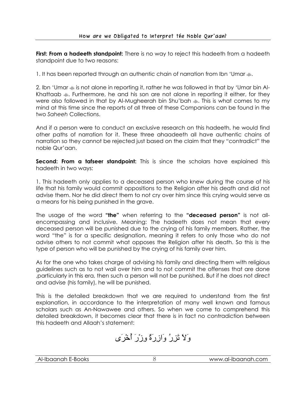**First: From a hadeeth standpoint:** There is no way to reject this hadeeth from a hadeeth standpoint due to two reasons:

1. It has been reported through an authentic chain of narration from Ibn 'Umar  $\ddot{\ast}$ .

2. Ibn 'Umar  $\ast$  is not alone in reporting it, rather he was followed in that by 'Umar bin Al-Khattaab  $\ast$ . Furthermore, he and his son are not alone in reporting it either, for they were also followed in that by Al-Mugheerah bin Shu'bah  $\ast$ . This is what comes to my mind at this time since the reports of all three of these Companions can be found in the two *Saheeh* Collections.

And if a person were to conduct an exclusive research on this hadeeth, he would find other paths of narration for it. These three ahaadeeth all have authentic chains of narration so they cannot be rejected just based on the claim that they "contradict" the noble Qur'aan.

**Second: From a tafseer standpoint:** This is since the scholars have explained this hadeeth in two ways:

1. This hadeeth only applies to a deceased person who knew during the course of his life that his family would commit oppositions to the Religion after his death and did not advise them. Nor he did direct them to not cry over him since this crying would serve as a means for his being punished in the grave.

The usage of the word **"the"** when referring to the **"deceased person"** is not allencompassing and inclusive. Meaning: The hadeeth does not mean that every deceased person will be punished due to the crying of his family members. Rather, the word "the" is for a specific designation, meaning it refers to only those who do not advise others to not commit what opposes the Religion after his death. So this is the type of person who will be punished by the crying of his family over him.

As for the one who takes charge of advising his family and directing them with religious guidelines such as to not wail over him and to not commit the offenses that are done ,particularly in this era, then such a person will not be punished. But if he does not direct and advise (his family), he will be punished.

This is the detailed breakdown that we are required to understand from the first explanation, in accordance to the interpretation of many well known and famous scholars such as An-Nawawee and others. So when we come to comprehend this detailed breakdown, it becomes clear that there is in fact no contradiction between this hadeeth and Allaah's statement:

وَلاَ تَزِرُ وَازِرَةٌ وِزْرَ أُخْرَى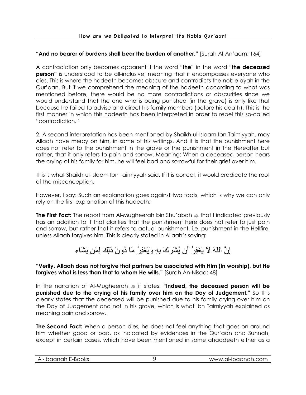### **"And no bearer of burdens shall bear the burden of another."** [Surah Al-An'aam: 164]

A contradiction only becomes apparent if the word **"the"** in the word **"the deceased person**" is understood to be all-inclusive, meaning that it encompasses everyone who dies. This is where the hadeeth becomes obscure and contradicts the noble ayah in the Qur'aan. But if we comprehend the meaning of the hadeeth according to what was mentioned before, there would be no more contradictions or obscurities since we would understand that the one who is being punished (in the grave) is only like that because he failed to advise and direct his family members (before his death). This is the first manner in which this hadeeth has been interpreted in order to repel this so-called "contradiction."

2. A second interpretation has been mentioned by Shaikh-ul-Islaam Ibn Taimiyyah, may Allaah have mercy on him, in some of his writings. And it is that the punishment here does not refer to the punishment in the grave or the punishment in the Hereafter but rather, that it only refers to pain and sorrow. Meaning: When a deceased person hears the crying of his family for him, he will feel bad and sorrowful for their grief over him.

This is what Shaikh-ul-Islaam Ibn Taimiyyah said. If it is correct, it would eradicate the root of the misconception.

However, I say: Such an explanation goes against two facts, which is why we can only rely on the first explanation of this hadeeth:

**The First Fact:** The report from Al-Mugheerah bin Shu'abah  $\ast$  that I indicated previously has an addition to it that clarifies that the punishment here does not refer to just pain and sorrow, but rather that it refers to actual punishment, i.e. punishment in the Hellfire, unless Allaah forgives him. This is clearly stated in Allaah's saying:

## إِنَّ اللّهَ لاَ يَغْفِرُ أَن يُشْرَكَ بِهِ وَيَغْفِرُ مَا دُونَ ذَلِكَ لِمَن يَشَاء

**"Verily, Allaah does not forgive that partners be associated with Him (in worship), but He forgives what is less than that to whom He wills."** [Surah An-Nisaa: 48]

In the narration of Al-Mugheerah  $\ast$  it states: **"Indeed, the deceased person will be punished due to the crying of his family over him on the Day of Judgement."** So this clearly states that the deceased will be punished due to his family crying over him on the Day of Judgement and not in his grave, which is what Ibn Taimiyyah explained as meaning pain and sorrow.

**The Second Fact:** When a person dies, he does not feel anything that goes on around him whether good or bad, as indicated by evidences in the Qur'aan and Sunnah, except in certain cases, which have been mentioned in some ahaadeeth either as a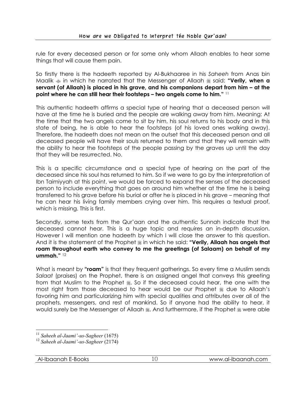rule for every deceased person or for some only whom Allaah enables to hear some things that will cause them pain.

So firstly there is the hadeeth reported by Al-Bukhaaree in his *Saheeh* from Anas bin Maalik  $\ast$  in which he narrated that the Messenger of Allaah  $\ast$  said: "**Verily, when a servant (of Allaah) is placed in his grave, and his companions depart from him – at the point where he can still hear their footsteps – two angels come to him."** <sup>11</sup>

This authentic hadeeth affirms a special type of hearing that a deceased person will have at the time he is buried and the people are walking away from him. Meaning: At the time that the two angels come to sit by him, his soul returns to his body and in this state of being, he is able to hear the footsteps (of his loved ones walking away). Therefore, the hadeeth does not mean on the outset that this deceased person and all deceased people will have their souls returned to them and that they will remain with the ability to hear the footsteps of the people passing by the graves up until the day that they will be resurrected. No.

This is a specific circumstance and a special type of hearing on the part of the deceased since his soul has returned to him. So if we were to go by the interpretation of Ibn Taimiyyah at this point, we would be forced to expand the senses of the deceased person to include everything that goes on around him whether at the time he is being transferred to his grave before his burial or after he is placed in his grave – meaning that he can hear his living family members crying over him. This requires a textual proof, which is missing. This is first.

Secondly, some texts from the Qur'aan and the authentic Sunnah indicate that the deceased cannot hear. This is a huge topic and requires an in-depth discussion. However I will mention one hadeeth by which I will close the answer to this question. And it is the statement of the Prophet  $\ast$  in which he said: "Verily, Allaah has angels that **roam throughout earth who convey to me the greetings (of Salaam) on behalf of my ummah."** <sup>12</sup>

What is meant by **"roam"** is that they frequent gatherings. So every time a Muslim sends *Salaat* (praises) on the Prophet, there is an assigned angel that conveys this greeting from that Muslim to the Prophet . So if the deceased could hear, the one with the most right from those deceased to hear would be our Prophet  $*$  due to Allaah's favoring him and particularizing him with special qualities and attributes over all of the prophets, messengers, and rest of mankind. So if anyone had the ability to hear, it would surely be the Messenger of Allaah . And furthermore, if the Prophet  $\frac{1}{28}$  were able

<sup>11</sup> *Saheeh al-Jaami'-us-Sagheer* (1675)

<sup>12</sup> *Saheeh al-Jaami'-us-Sagheer* (2174)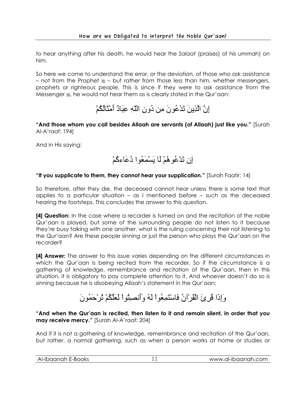to hear anything after his death, he would hear the *Salaat* (praises) of his ummah) on him.

So here we come to understand the error, or the deviation, of those who ask assistance – not from the Prophet  $* =$  but rather from those less than him, whether messengers, prophets or righteous people. This is since if they were to ask assistance from the Messenger  $\frac{1}{26}$ , he would not hear them as is clearly stated in the Qur'aan:

إِنَّ الَّذِينَ تَدْعُونَ مِن دُونِ اللّهِ عِبَادٌ أَمْثَالُكُمْ

**"And those whom you call besides Allaah are servants (of Allaah) just like you."** [Surah Al-A'raaf: 194]

And in His saying:

إِن تَدْعُوهُمْ لَا يَسْمَعُوا دُعَاءآُمْ

#### **"If you supplicate to them, they cannot hear your supplication."** [Surah Faatir: 14]

So therefore, after they die, the deceased cannot hear unless there is some text that applies to a particular situation – as I mentioned before – such as the deceased hearing the footsteps. This concludes the answer to this question.

**[4] Question:** In the case where a recorder is turned on and the recitation of the noble Qur'aan is played, but some of the surrounding people do not listen to it because they're busy talking with one another, what is the ruling concerning their not listening to the Qur'aan? Are these people sinning or just the person who plays the Qur'aan on the recorder?

**[4] Answer:** The answer to this issue varies depending on the different circumstances in which the Qur'aan is being recited from the recorder. So if the circumstance is a gathering of knowledge, remembrance and recitation of the Qur'aan, then in this situation, it is obligatory to pay complete attention to it. And whoever doesn't do so is sinning because he is disobeying Allaah's statement in the Qur'aan:

# وَإِذَا قُرِئَ الْقُرْآنُ فَاسْتَمِعُواْ لَهُ وَأَنصِتُواْ لَعَلَّكُمْ تُرْحَمُونَ

**"And when the Qur'aan is recited, then listen to it and remain silent, in order that you may receive mercy."** [Surah Al-A'raaf: 204]

And if it is not a gathering of knowledge, remembrance and recitation of the Qur'aan, but rather, a normal gathering, such as when a person works at home or studies or

| laanah<br>:-Books<br>$\sim$<br>Aŀ-<br>טטיי.<br>∽י<br>___ | -- | -ihaanah<br>.com<br><b>WWW</b><br>זרזכזו-ור<br>. . |
|----------------------------------------------------------|----|----------------------------------------------------|
|                                                          |    |                                                    |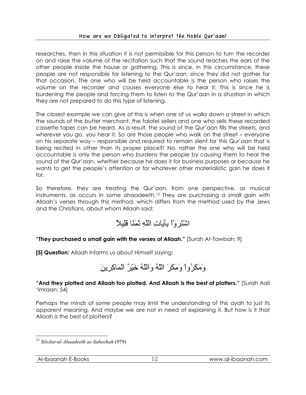researches, then in this situation it is not permissible for this person to turn the recorder on and raise the volume of the recitation such that the sound reaches the ears of the other people inside the house or gathering. This is since, in this circumstance, these people are not responsible for listening to the Qur'aan, since they did not gather for that occasion. The one who will be held accountable is the person who raises the volume on the recorder and causes everyone else to hear it. This is since he is burdening the people and forcing them to listen to the Qur'aan in a situation in which they are not prepared to do this type of listening.

The closest example we can give of this is when one of us walks down a street in which the sounds of the butter merchant, the falafel sellers and one who sells these recorded cassette tapes can be heard. As a result, the sound of the Qur'aan fills the streets, and wherever you go, you hear it. So are those people who walk on the street – everyone on his separate way – responsible and required to remain silent for this Qur'aan that is being recited in other than its proper place?! No, rather the one who will be held accountable is only the person who burdens the people by causing them to hear the sound of the Qur'aan, whether because he does it for business purposes or because he wants to get the people's attention or for whatever other materialistic gain he does it for.

So therefore, they are treating the Qur'aan, from one perspective, as musical instruments, as occurs in some ahaadeeth.13 They are purchasing a small gain with Allaah's verses through this method, which differs from the method used by the Jews and the Christians, about whom Allaah said:

## اشْتَرَوْاْ بِآيَاتِ اللّهِ ثَمَنًا قَلِيلاً

**"They purchased a small gain with the verses of Allaah."** [Surah At-Tawbah: 9]

**[5] Question:** Allaah informs us about Himself saying:



**"And they plotted and Allaah too plotted. And Allaah is the best of plotters."** [Surah Aali 'Imraan: 54]

Perhaps the minds of some people may limit the understanding of this ayah to just its apparent meaning. And maybe we are not in need of explaining it. But how is it that Allaah is the best of plotters?

 $\overline{a}$ <sup>13</sup> *Silsilat-ul-Ahaadeeth as-Saheehah* (979)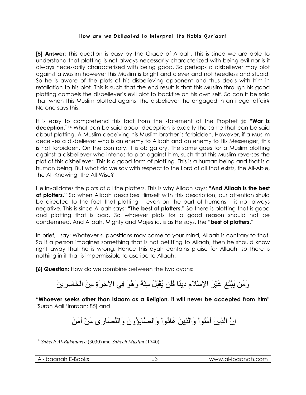**[5] Answer:** This question is easy by the Grace of Allaah. This is since we are able to understand that plotting is not always necessarily characterized with being evil nor is it always necessarily characterized with being good. So perhaps a disbeliever may plot against a Muslim however this Muslim is bright and clever and not heedless and stupid. So he is aware of the plots of his disbelieving opponent and thus deals with him in retaliation to his plot. This is such that the end result is that this Muslim through his good plotting compels the disbeliever's evil plot to backfire on his own self. So can it be said that when this Muslim plotted against the disbeliever, he engaged in an illegal affair? No one says this.

It is easy to comprehend this fact from the statement of the Prophet  $\frac{1}{28}$ : "War is **deception."**<sup>14</sup> What can be said about deception is exactly the same that can be said about plotting. A Muslim deceiving his Muslim brother is forbidden. However, if a Muslim deceives a disbeliever who is an enemy to Allaah and an enemy to His Messenger, this is not forbidden. On the contrary, it is obligatory. The same goes for a Muslim plotting against a disbeliever who intends to plot against him, such that this Muslim reverses the plot of this disbeliever. This is a good form of plotting. This is a human being and that is a human being. But what do we say with respect to the Lord of all that exists, the All-Able, the All-Knowing, the All-Wise?

He invalidates the plots of all the plotters. This is why Allaah says: **"And Allaah is the best of plotters."** So when Allaah describes Himself with this description, our attention shuld be directed to the fact that plotting – even on the part of humans – is not always negative. This is since Allaah says: **"The best of plotters."** So there is plotting that is good and plotting that is bad. So whoever plots for a good reason should not be condemned. And Allaah, Mighty and Majestic, is as He says, the **"best of plotters."**

In brief, I say: Whatever suppositions may come to your mind, Allaah is contrary to that. So if a person imagines something that is not befitting to Allaah, then he should know right away that he is wrong. Hence this ayah contains praise for Allaah, so there is nothing in it that is impermissible to ascribe to Allaah.

**[6] Question:** How do we combine between the two ayahs:

# وَمَن يَبْتَغِ غَيْرَ الإِسْلاَمِ دِينًا فَلَن يُقْبَلَ مِنْهُ وَهُوَ فِي الآخِرَةِ مِنَ الْخَاسِرِينَ

**"Whoever seeks other than Islaam as a Religion, it will never be accepted from him"** [Surah Aali 'Imraan: 85] and

إِنَّ الَّذِينَ آمَنُواْ وَالَّذِينَ هَادُواْ وَالصَّابِؤُونَ وَالنَّصَارَى مَنْ آمَنَ

 $\overline{a}$ <sup>14</sup> *Saheeh Al-Bukhaaree* (3030) and *Saheeh Muslim* (1740)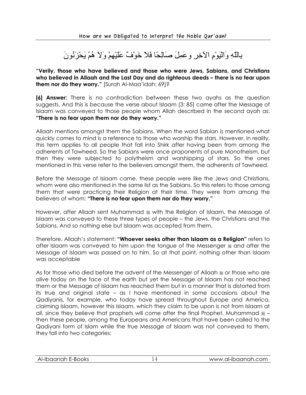بِاللّهِ وَالْيَوْمِ الآخِرِ وعَمِلَ صَالِحًا فَلاَ خَوْفٌ عَلَيْهِمْ وَلاَ هُمْ يَحْزَنُونَ

**"Verily, those who have believed and those who were Jews, Sabians, and Christians who believed in Allaah and the Last Day and do righteous deeds – there is no fear upon them nor do they worry."** [Surah Al-Maa'idah: 69]?

**[6] Answer:** There is no contradiction between these two ayahs as the question suggests. And this is because the verse about Islaam (3: 85) came after the Message of Islaam was conveyed to those people whom Allah described in the second ayah as: **"There is no fear upon them nor do they worry."**

Allaah mentions amongst them the Sabians. When the word Sabian is mentioned what quickly comes to mind is a reference to those who worship the stars. However, in reality, this term applies to all people that fall into Shirk after having been from among the adherents of Tawheed. So the Sabians were once proponents of pure Monotheism, but then they were subjected to polytheism and worshipping of stars. So the ones mentioned in this verse refer to the believers amongst them, the adherents of Tawheed.

Before the Message of Islaam came, these people were like the Jews and Christians, whom were also mentioned in the same list as the Sabians. So this refers to those among them that were practicing their Religion at their time. They were from among the believers of whom: **"There is no fear upon them nor do they worry."**

However, after Allaah sent Muhammad  $\frac{1}{20}$  with the Religion of Islaam, the Message of Islaam was conveyed to these three types of people – the Jews, the Christians and the Sabians. And so nothing else but Islaam was accepted from them.

Therefore, Allaah's statement: **"Whoever seeks other than Islaam as a Religion"** refers to after Islaam was conveyed to him upon the tongue of the Messenger  $\frac{1}{28}$  and after the Message of Islaam was passed on to him. So at that point, nothing other than Islaam was acceptable

As for those who died before the advent of the Messenger of Allaah  $\frac{4}{36}$  or those who are alive today on the face of the earth but yet the Message of Islaam has not reached them or the Message of Islaam has reached them but in a manner that is distorted from its true and original state – as I have mentioned in some occasions about the Qadiyanis, for example, who today have spread throughout Europe and America, claiming Islaam, however this Islaam, which they claim to be upon is not from Islaam at all, since they believe that prophets will come after the final Prophet, Muhammad  $\equiv$ then these people, among the Europeans and Americans that have been called to the Qadiyani form of Islam while the true Message of Islaam was not conveyed to them, they fall into two categories: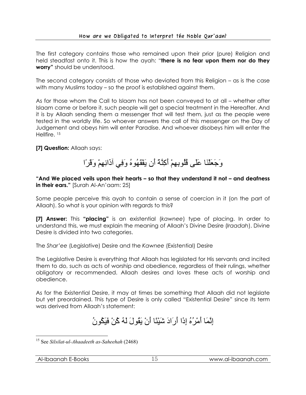#### How are we Obligated to Interpret the Noble Qur**'**aan?

The first category contains those who remained upon their prior (pure) Religion and held steadfast onto it. This is how the ayah: "**there is no fear upon them nor do they worry"** should be understood.

The second category consists of those who deviated from this Religion – as is the case with many Muslims today – so the proof is established against them.

As for those whom the Call to Islaam has not been conveyed to at all – whether after Islaam came or before it, such people will get a special treatment in the Hereafter. And it is by Allaah sending them a messenger that will test them, just as the people were tested in the worldly life. So whoever answers the call of this messenger on the Day of Judgement and obeys him will enter Paradise. And whoever disobeys him will enter the Hellfire. 15

### **[7] Question:** Allaah says:

## وَجَعَلْنَا عَلَى قُلُوبِهِمْ أَآِنَّةً أَن يَفْقَهُوهُ وَفِي آذَانِهِمْ وَقْرًا

**"And We placed veils upon their hearts – so that they understand it not – and deafness in their ears."** [Surah Al-An'aam: 25]

Some people perceive this ayah to contain a sense of coercion in it (on the part of Allaah). So what is your opinion with regards to this?

**[7] Answer:** This **"placing"** is an existential (*kawnee*) type of placing. In order to understand this, we must explain the meaning of Allaah's Divine Desire (*Iraadah*). Divine Desire is divided into two categories.

The *Shar'ee* (Legislative) Desire and the *Kawnee* (Existential) Desire

The Legislative Desire is everything that Allaah has legislated for His servants and incited them to do, such as acts of worship and obedience, regardless of their rulings, whether obligatory or recommended. Allaah desires and loves these acts of worship and obedience.

As for the Existential Desire, it may at times be something that Allaah did not legislate but yet preordained. This type of Desire is only called "Existential Desire" since its term was derived from Allaah's statement:

# إِنَّمَا أَمْرُهُ إِذَا أَرَادَ شَيْئًا أَنْ يَقُولَ لَهُ آُنْ فَيَكُونُ

 $\overline{a}$ 15 See *Silsilat-ul-Ahaadeeth as-Saheehah* (2468)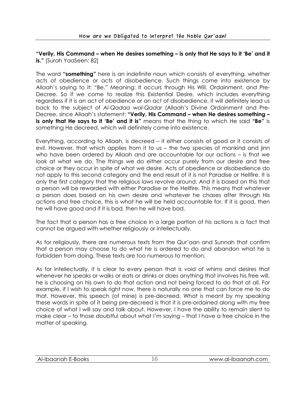#### **"Verily, His Command – when He desires something – is only that He says to it 'Be' and it is."** [Surah YaaSeen: 82]

The word **"something"** here is an indefinite noun which consists of everything, whether acts of obedience or acts of disobedience. Such things come into existence by Allaah's saying to it: "Be." Meaning: It occurs through His Will, Ordainment, and Pre-Decree. So if we come to realize this Existential Desire, which includes everything regardless if it is an act of obedience or an act of disobedience, it will definitely lead us back to the subject of *Al-Qadaa wal-Qadar* (Allaah's Divine Ordainment and Pre-Decree, since Allaah's statement: **"Verily, His Command – when He desires something – is only that He says to it 'Be' and it is"** means that the thing to which He said **"Be"** is something He decreed, which will definitely come into existence.

Everything, according to Allaah, is decreed – it either consists of good or it consists of evil. However, that which applies from it to us – the two species of mankind and jinn who have been ordered by Allaah and are accountable for our actions – is that we look at what we do. The things we do either occur purely from our desire and free choice or they occur in spite of what we desire. Acts of obedience or disobedience do not apply to this second category and the end result of it is not Paradise or Hellfire. It is only the first category that the religious laws revolve around. And it is based on this that a person will be rewarded with either Paradise or the Hellfire. This means that whatever a person does based on his own desire and whatever he chases after through His actions and free choice, this is what he will be held accountable for. If it is good, then he will have good and if it is bad, then he will have bad.

The fact that a person has a free choice in a large portion of his actions is a fact that cannot be argued with whether religiously or intellectually.

As for religiously, there are numerous texts from the Qur'aan and Sunnah that confirm that a person may choose to do what he is ordered to do and abandon what he is forbidden from doing. These texts are too numerous to mention.

As for intellectually, it is clear to every person that is void of whims and desires that whenever he speaks or walks or eats or drinks or does anything that involves his free will, he is choosing on his own to do that action and not being forced to do that at all. For example, if I wish to speak right now, there is naturally no one that can force me to do that. However, this speech (of mine) is pre-decreed. What is meant by my speaking these words in spite of it being pre-decreed is that it is pre-ordained along with my free choice of what I will say and talk about. However, I have the ability to remain silent to make clear – to those doubtful about what I'm saying – that I have a free choice in the matter of speaking.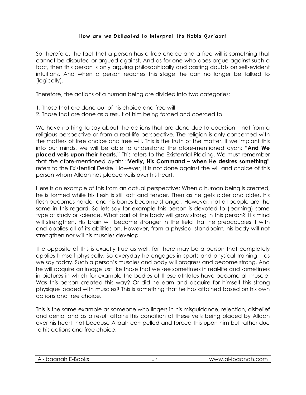So therefore, the fact that a person has a free choice and a free will is something that cannot be disputed or argued against. And as for one who does argue against such a fact, then this person is only arguing philosophically and casting doubts on self-evident intuitions. And when a person reaches this stage, he can no longer be talked to (logically).

Therefore, the actions of a human being are divided into two categories:

- 1. Those that are done out of his choice and free will
- 2. Those that are done as a result of him being forced and coerced to

We have nothing to say about the actions that are done due to coercion – not from a religious perspective or from a real-life perspective. The religion is only concerned with the matters of free choice and free will. This is the truth of the matter. If we implant this into our minds, we will be able to understand the afore-mentioned ayah: **"And We placed veils upon their hearts."** This refers to the Existential Placing. We must remember that the afore-mentioned ayah: **"Verily, His Command – when He desires something"** refers to the Existential Desire. However, it is not done against the will and choice of this person whom Allaah has placed veils over his heart.

Here is an example of this from an actual perspective: When a human being is created, he is formed while his flesh is still soft and tender. Then as he gets older and older, his flesh becomes harder and his bones become stronger. However, not all people are the same in this regard. So lets say for example this person is devoted to (learning) some type of study or science. What part of the body will grow strong in this person? His mind will strengthen. His brain will become stronger in the field that he preoccupies it with and applies all of its abilities on. However, from a physical standpoint, his body will not strengthen nor will his muscles develop.

The opposite of this is exactly true as well, for there may be a person that completely applies himself physically. So everyday he engages in sports and physical training – as we say today. Such a person's muscles and body will progress and become strong. And he will acquire an image just like those that we see sometimes in real-life and sometimes in pictures in which for example the bodies of these athletes have become all muscle. Was this person created this way? Or did he earn and acquire for himself this strong physique loaded with muscles? This is something that he has attained based on his own actions and free choice.

This is the same example as someone who lingers in his misguidance, rejection, disbelief and denial and as a result attains this condition of these veils being placed by Allaah over his heart, not because Allaah compelled and forced this upon him but rather due to his actions and free choice.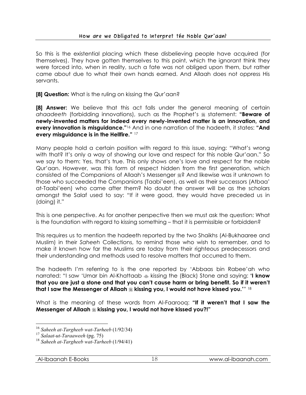So this is the existential placing which these disbelieving people have acquired (for themselves). They have gotten themselves to this point, which the ignorant think they were forced into, when in reality, such a fate was not obliged upon them, but rather came about due to what their own hands earned. And Allaah does not oppress His servants.

**[8] Question:** What is the ruling on kissing the Qur'aan?

**[8] Answer:** We believe that this act falls under the general meaning of certain ahaadeeth (forbidding innovations), such as the Prophet's  $\frac{1}{28}$  statement: **"Beware of newly-invented matters for indeed every newly-invented matter is an innovation, and every innovation is misguidance."**<sup>16</sup> And in one narration of the hadeeth, it states: **"And every misguidance is in the Hellfire."** <sup>17</sup>

Many people hold a certain position with regard to this issue, saying: "What's wrong with that? It's only a way of showing our love and respect for this noble Qur'aan." So we say to them: Yes, that's true. This only shows one's love and respect for the noble Qur'aan. However, was this form of respect hidden from the first generation, which consisted of the Companions of Allaah's Messenger ? And likewise was it unknown to those who succeeded the Companions (Taabi'een), as well as their successors (Atbaa' at-Taabi'een) who came after them? No doubt the answer will be as the scholars amongst the Salaf used to say: "If it were good, they would have preceded us in (doing) it."

This is one perspective. As for another perspective then we must ask the question: What is the foundation with regard to kissing something – that it is permissible or forbidden?

This requires us to mention the hadeeth reported by the two Shaikhs (Al-Bukhaaree and Muslim) in their *Saheeh* Collections, to remind those who wish to remember, and to make it known how far the Muslims are today from their righteous predecessors and their understanding and methods used to resolve matters that occurred to them.

The hadeeth I'm referring to is the one reported by 'Abbaas bin Rabee'ah who narrated: "I saw 'Umar bin Al-Khattaab kissing the (Black) Stone and saying: **'I know that you are just a stone and that you can't cause harm or bring benefit. So if it weren't that I saw the Messenger of Allaah kissing you, I would not have kissed you.'**" 18

What is the meaning of these words from Al-Faarooq: **"If it weren't that I saw the Messenger of Allaah kissing you, I would not have kissed you?!"** 

 $\overline{a}$ <sup>16</sup> *Saheeh at-Targheeb wat-Tarheeb* (1/92/34)

<sup>17</sup> *Salaat-ut-Taraaweeh* (pg. 75)

<sup>18</sup> *Saheeh at-Targheeb wat-Tarheeb* (1/94/41)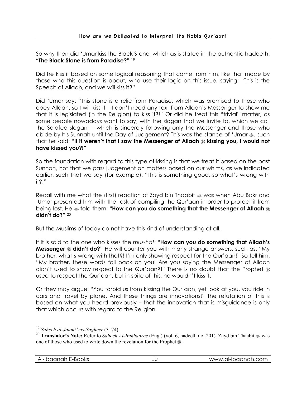So why then did 'Umar kiss the Black Stone, which as is stated in the authentic hadeeth: **"The Black Stone is from Paradise?"** <sup>19</sup>

Did he kiss it based on some logical reasoning that came from him, like that made by those who this question is about, who use their logic on this issue, saying: "This is the Speech of Allaah, and we will kiss it?"

Did 'Umar say: "This stone is a relic from Paradise, which was promised to those who obey Allaah, so I will kiss it – I don't need any text from Allaah's Messenger to show me that it is legislated (in the Religion) to kiss it?!" Or did he treat this "trivial" matter, as some people nowadays want to say, with the slogan that we invite to, which we call the Salafee slogan - which is sincerely following only the Messenger and those who abide by his Sunnah until the Day of Judgement? This was the stance of 'Umar  $\clubsuit$ , such that he said: "If it weren't that I saw the Messenger of Allaah  $\frac{1}{26}$  kissing you, I would not **have kissed you?!"**

So the foundation with regard to this type of kissing is that we treat it based on the past Sunnah, not that we pass judgement on matters based on our whims, as we indicated earlier, such that we say (for example): "This is something good, so what's wrong with it?!"

Recall with me what the (first) reaction of Zayd bin Thaabit  $\ast$  was when Abu Bakr and 'Umar presented him with the task of compiling the Qur'aan in order to protect it from being lost. He  $\ast$  told them: **"How can you do something that the Messenger of Allaah**  $\ast$ **didn't do?"** <sup>20</sup>

But the Muslims of today do not have this kind of understanding at all.

If it is said to the one who kisses the *mus-haf*: **"How can you do something that Allaah's Messenger**  $\frac{1}{2}$  **didn't do?"** He will counter you with many strange answers, such as: "My brother, what's wrong with that?! I'm only showing respect for the Qur'aan!" So tell him: "My brother, these words fall back on you! Are you saying the Messenger of Allaah didn't used to show respect to the Qur'aan?!" There is no doubt that the Prophet  $\frac{16}{20}$ used to respect the Qur'aan, but in spite of this, he wouldn't kiss it.

Or they may argue: "You forbid us from kissing the Qur'aan, yet look at you, you ride in cars and travel by plane. And these things are innovations!" The refutation of this is based on what you heard previously – that the innovation that is misguidance is only that which occurs with regard to the Religion.

 $\overline{a}$ <sup>19</sup> *Saheeh al-Jaami'-us-Sagheer* (3174)

<sup>20</sup> **Translator's Note:** Refer to *Saheeh Al-Bukhaaree* (Eng.) (vol. 6, hadeeth no. 201). Zayd bin Thaabit was one of those who used to write down the revelation for the Prophet ...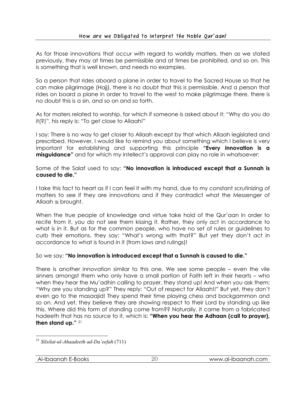As for those innovations that occur with regard to worldly matters, then as we stated previously, they may at times be permissible and at times be prohibited, and so on. This is something that is well known, and needs no examples.

So a person that rides aboard a plane in order to travel to the Sacred House so that he can make pilgrimage (Hajj), there is no doubt that this is permissible. And a person that rides on board a plane in order to travel to the west to make pilgrimage there, there is no doubt this is a sin, and so on and so forth.

As for maters related to worship, for which if someone is asked about it: "Why do you do it(?)", his reply is: "To get close to Allaah!"

I say: There is no way to get closer to Allaah except by that which Allaah legislated and prescribed. However, I would like to remind you about something which I believe is very important for establishing and supporting this principle **"Every innovation is a misguidance"** and for which my intellect's approval can play no role in whatsoever:

Some of the Salaf used to say: **"No innovation is introduced except that a Sunnah is caused to die."**

I take this fact to heart as if I can feel it with my hand, due to my constant scrutinizing of matters to see if they are innovations and if they contradict what the Messenger of Allaah <sup>5</sup> brought.

When the true people of knowledge and virtue take hold of the Qur'aan in order to recite from it, you do not see them kissing it. Rather, they only act in accordance to what is in it. But as for the common people, who have no set of rules or guidelines to curb their emotions, they say: "What's wrong with that?" But yet they don't act in accordance to what is found in it (from laws and rulings)!

So we say: **"No innovation is introduced except that a Sunnah is caused to die."** 

There is another innovation similar to this one. We see some people – even the vile sinners amongst them who only have a small portion of Faith left in their hearts – who when they hear the Mu'adhin calling to prayer, they stand up! And when you ask them: "Why are you standing up?" They reply: "Out of respect for Allaah!!" But yet, they don't even go to the masaajid! They spend their time playing chess and backgammon and so on. And yet, they believe they are showing respect to their Lord by standing up like this. Where did this form of standing come from?? Naturally, it came from a fabricated hadeeth that has no source to it, which is: **"When you hear the Adhaan (call to prayer), then stand up."** <sup>21</sup>

 $\overline{a}$ <sup>21</sup> *Silsilat-ul-Ahaadeeth ad-Da'eefah* (711)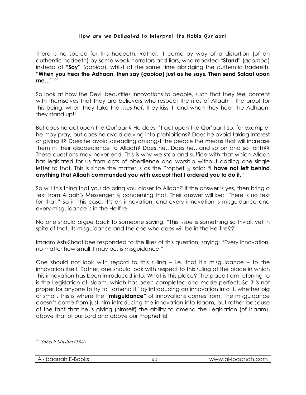There is no source for this hadeeth. Rather, it came by way of a distortion (of an authentic hadeeth) by some weak narrators and liars, who reported **"Stand"** (*qoomoo*) instead of **"Say"** (*qooloo*), whilst at the same time abridging the authentic hadeeth: **"When you hear the Adhaan, then say (***qooloo***) just as he says. Then send Salaat upon me…"** <sup>22</sup>

So look at how the Devil beautifies innovations to people, such that they feel content with themselves that they are believers who respect the rites of Allaah – the proof for this being: when they take the *mus-haf*, they kiss it, and when they hear the Adhaan, they stand up!!

But does he act upon the Qur'aan? He doesn't act upon the Qur'aan! So, for example, he may pray, but does he avoid delving into prohibitions? Does he avoid taking interest or giving it? Does he avoid spreading amongst the people the means that will increase them in their disobedience to Allaah? Does he…Does he…and so on and so forth?? These questions may never end. This is why we stop and suffice with that which Allaah has legislated for us from acts of obedience and worship without adding one single letter to that. This is since the matter is as the Prophet  $\ast$  said: **"I have not left behind anything that Allaah commanded you with except that I ordered you to do it."**

So will this thing that you do bring you closer to Allaah? If the answer is yes, then bring a text from Allaah's Messenger  $\frac{1}{20}$  concerning that. Their answer will be: "There is no text for that." So in this case, it's an innovation, and every innovation is misguidance and every misguidance is in the Hellfire.

No one should argue back to someone saying: "This issue is something so trivial, yet in spite of that, its misguidance and the one who does will be in the Hellfire??"

Imaam Ash-Shaatibee responded to the likes of this question, saying: "Every innovation, no matter how small it may be, is misguidance."

One should not look with regard to this ruling – i.e. that it's misguidance – to the innovation itself. Rather, one should look with respect to this ruling at the place in which this innovation has been introduced into. What is this place? The place I am referring to is the Legislation of Islaam, which has been completed and made perfect. So it is not proper for anyone to try to "amend it" by introducing an innovation into it, whether big or small. This is where the **"misguidance"** of innovations comes from. The misguidance doesn't come from just him introducing the innovation into Islaam, but rather because of the fact that he is giving (himself) the ability to amend the Legislation (of Islaam), above that of our Lord and above our Prophet  $\ddot{\ast}$ !

 $\overline{a}$ <sup>22</sup> *Saheeh Muslim* (384)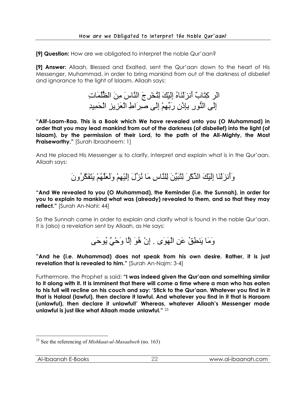**[9] Question:** How are we obligated to interpret the noble Qur'aan?

**[9] Answer:** Allaah, Blessed and Exalted, sent the Qur'aan down to the heart of His Messenger, Muhammad, in order to bring mankind from out of the darkness of disbelief and ignorance to the light of Islaam. Allaah says:

> الَر كِتَابٌ أَنزَلْنَاهُ إِلَيْكَ لِتُخْرِجَ النَّاسَ مِنَ الظُّلُمَاتِ إِلَى النُّورِ بِإِذْنِ رَبِّهِمْ إِلَى صِرَاطِ الْعَزِيزِ الْحَمِيدِ

**"Alif-Laam-Raa. This is a Book which We have revealed unto you (O Muhammad) in order that you may lead mankind from out of the darkness (of disbelief) into the light (of Islaam), by the permission of their Lord, to the path of the All-Mighty, the Most Praiseworthy."** [Surah Ibraaheem: 1]

And He placed His Messenger  $\frac{1}{26}$  to clarify, interpret and explain what is in the Qur'aan. Allaah says:

وَأَنزَلْنَا إِلَيْكَ الذِّآْرَ لِتُبَيِّنَ لِلنَّاسِ مَا نُزِّلَ إِلَيْهِمْ وَلَعَلَّهُمْ يَتَفَكَّرُونَ

**"And We revealed to you (O Muhammad), the Reminder (i.e. the Sunnah), in order for you to explain to mankind what was (already) revealed to them, and so that they may reflect."** [Surah An-Nahl: 44]

So the Sunnah came in order to explain and clarify what is found in the noble Qur'aan. It is (also) a revelation sent by Allaah, as He says:

وَمَا يَنطِقُ عَنِ الْهَوَى . إِنْ هُوَ إِلَّا وَحْيٌ يُوحَى

**"And he (i.e. Muhammad) does not speak from his own desire. Rather, it is just revelation that is revealed to him."** [Surah An-Najm: 3-4]

Furthermore, the Prophet  $\frac{1}{26}$  said: "I was indeed given the Qur'aan and something similar **to it along with it. It is imminent that there will come a time where a man who has eaten to his full will recline on his couch and say: 'Stick to the Qur'aan. Whatever you find in it that is Halaal (lawful), then declare it lawful. And whatever you find in it that is Haraam (unlawful), then declare it unlawful!' Whereas, whatever Allaah's Messenger made unlawful is just like what Allaah made unlawful."** <sup>23</sup>

 $\overline{a}$ 23 See the referencing of *Mishkaat-ul-Masaabeeh* (no. 163)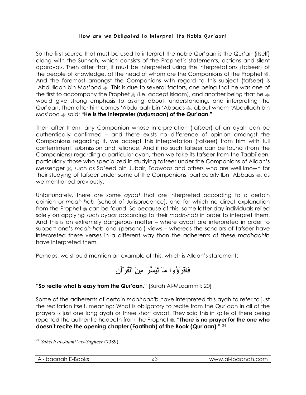So the first source that must be used to interpret the noble Qur'aan is the Qur'an (itself) along with the Sunnah, which consists of the Prophet's statements, actions and silent approvals. Then after that, it must be interpreted using the interpretations (tafseer) of the people of knowledge, at the head of whom are the Companions of the Prophet  $\ddot{\text{m}}$ . And the foremost amongst the Companions with regard to this subject (tafseer) is 'Abdullaah bin Mas'ood  $\ast$ . This is due to several factors, one being that he was one of the first to accompany the Prophet  $\frac{1}{26}$  (i.e. accept Islaam), and another being that he  $\frac{1}{26}$ would give strong emphasis to asking about, understanding, and interpreting the Qur'aan. Then after him comes 'Abdullaah bin 'Abbaas  $\clubsuit$ , about whom 'Abdullaah bin Mas'ood said: **"He is the interpreter (***turjumaan***) of the Qur'aan."**

Then after them, any Companion whose interpretation (tafseer) of an ayah can be authentically confirmed – and there exists no difference of opinion amongst the Companions regarding it, we accept this interpretation (tafseer) from him with full contentment, submission and reliance. And if no such tafseer can be found (from the Companions) regarding a particular ayah, then we take its tafseer from the Taabi'een, particularly those who specialized in studying tafseer under the Companions of Allaah's Messenger  $\frac{1}{2}$ , such as Sa'eed bin Jubair, Taawoos and others who are well known for their studying of tafseer under some of the Companions, particularly Ibn 'Abbaas  $\ast$ , as we mentioned previously.

Unfortunately, there are some *ayaat* that are interpreted according to a certain opinion or *madh-hab* (school of Jurisprudence), and for which no direct explanation from the Prophet  $\frac{1}{2}$  can be found. So because of this, some latter-day individuals relied solely on applying such *ayaat* according to their *madh-hab* in order to interpret them. And this is an extremely dangerous matter – where ayaat are interpreted in order to support one's *madh-hab* and (personal) views – whereas the scholars of tafseer have interpreted these verses in a different way than the adherents of these *madhaahib*  have interpreted them.

Perhaps, we should mention an example of this, which is Allaah's statement:



## **"So recite what is easy from the Qur'aan."** [Surah Al-Muzammil: 20]

Some of the adherents of certain *madhaahib* have interpreted this ayah to refer to just the recitation itself, meaning: What is obligatory to recite from the Qur'aan in all of the prayers is just one long ayah or three short ayaat. They said this in spite of there being reported the authentic hadeeth from the Prophet  $\ddot{\textbf{x}}$ : "There is no prayer for the one who **doesn't recite the opening chapter (Faatihah) of the Book (Qur'aan)."** <sup>24</sup>

 $\overline{a}$ <sup>24</sup> *Saheeh al-Jaami'-us-Sagheer* (7389)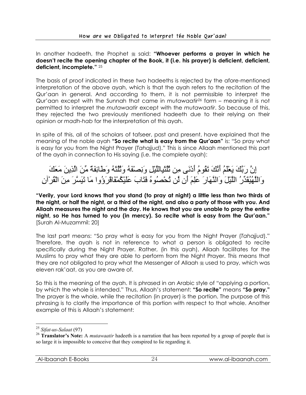In another hadeeth, the Prophet  $\frac{1}{26}$  said: **"Whoever performs a prayer in which he doesn't recite the opening chapter of the Book, it (i.e. his prayer) is deficient, deficient, deficient, incomplete."** <sup>25</sup>

The basis of proof indicated in these two hadeeths is rejected by the afore-mentioned interpretation of the above ayah, which is that the ayah refers to the recitation of the Qur'aan in general. And according to them, it is not permissible to interpret the Qur'aan except with the Sunnah that came in *mutawaatir*26 form – meaning it is not permitted to interpret the *mutawaatir* except with the *mutawaatir*. So because of this, they rejected the two previously mentioned hadeeth due to their relying on their opinion or *madh-hab* for the interpretation of this ayah.

In spite of this, all of the scholars of tafseer, past and present, have explained that the meaning of the noble ayah **"So recite what is easy from the Qur'aan"** is: "So pray what is easy for you from the Night Prayer (*Tahajjud*)." This is since Allaah mentioned this part of the ayah in connection to His saying (i.e. the complete ayah):

## إِنَّ رَبَّكَ يَعْلَمُ أَنَّكَ تَقُومُ أَدْنَى مِن ثُلُثَيِاللَّيْلِ وَنِصْفَهُ وَثُلُثَهُ وَطَائِفَةٌ مِّنَ الَّذِينَ مَعَكَ وَاللَّهُيُقَدِّرُ اللَّيْلَ وَالنَّهَارَ عَلِمَ أَن لَّن تُحْصُوهُ فَتَابَ عَلَيْكُمْفَاقْرَؤُوا مَا تَيَسَّرَ مِنَ الْقُرْآنِ

**"Verily, your Lord knows that you stand (to pray at night) a little less than two thirds of the night, or half the night, or a third of the night, and also a party of those with you. And Allaah measures the night and the day. He knows that you are unable to pray the entire night, so He has turned to you (in mercy). So recite what is easy from the Qur'aan."** [Surah Al-Muzammil: 20]

The last part means: "So pray what is easy for you from the Night Prayer (*Tahajjud*)." Therefore, the ayah is not in reference to what a person is obligated to recite specifically during the Night Prayer. Rather, (in this ayah), Allaah facilitates for the Muslims to pray what they are able to perform from the Night Prayer. This means that they are not obligated to pray what the Messenger of Allaah  $\frac{1}{28}$  used to pray, which was eleven rak'aat, as you are aware of.

So this is the meaning of the ayah. It is phrased in an Arabic style of "applying a portion, by which the whole is intended." Thus, Allaah's statement: **"So recite"** means **"So pray."** The prayer is the whole, while the recitation (in prayer) is the portion. The purpose of this phrasing is to clarify the importance of this portion with respect to that whole. Another example of this is Allaah's statement:

<sup>25</sup> *Sifat-us-Salaat* (97)

<sup>&</sup>lt;sup>26</sup> **Translator's Note:** A *mutawaatir* hadeeth is a narration that has been reported by a group of people that is so large it is impossible to conceive that they conspired to lie regarding it.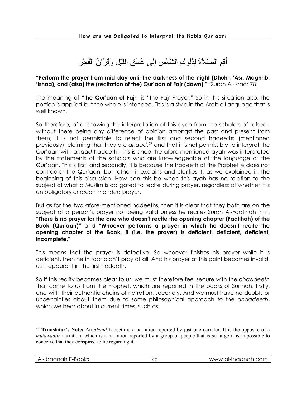أَقِمِ الصَّلاَةَ لِدُلُوكِ الشَّمْسِ إِلَى غَسَقِ اللَّيْلِ وَقُرْآنَ الْفَجْرِ

#### **"Perform the prayer from mid-day until the darkness of the night (Dhuhr, 'Asr, Maghrib, 'Ishaa), and (also) the (recitation of the) Qur'aan of Fajr (dawn)."** [Surah Al-Israa: 78]

The meaning of **"the Qur'aan of Fajr"** is "the Fajr Prayer." So in this situation also, the portion is applied but the whole is intended. This is a style in the Arabic Language that is well known.

So therefore, after showing the interpretation of this ayah from the scholars of tafseer, without there being any difference of opinion amongst the past and present from them, it is not permissible to reject the first and second hadeeths (mentioned previously), claiming that they are *ahaad*,<sup>27</sup> and that it is not permissible to interpret the Qur'aan with *ahaad* hadeeth! This is since the afore-mentioned ayah was interpreted by the statements of the scholars who are knowledgeable of the language of the Qur'aan. This is first, and secondly, it is because the hadeeth of the Prophet  $*$  does not contradict the Qur'aan, but rather, it explains and clarifies it, as we explained in the beginning of this discussion. How can this be when this ayah has no relation to the subject of what a Muslim is obligated to recite during prayer, regardless of whether it is an obligatory or recommended prayer.

But as for the two afore-mentioned hadeeths, then it is clear that they both are on the subject of a person's prayer not being valid unless he recites Surah Al-Faatihah in it: **"There is no prayer for the one who doesn't recite the opening chapter (Faatihah) of the Book (Qur'aan)"** and **"Whoever performs a prayer in which he doesn't recite the opening chapter of the Book, it (i.e. the prayer) is deficient, deficient, deficient, incomplete."**

This means that the prayer is defective. So whoever finishes his prayer while it is deficient, then he in fact didn't pray at all. And his prayer at this point becomes invalid, as is apparent in the first hadeeth.

So if this reality becomes clear to us, we must therefore feel secure with the *ahaadeeth*  that come to us from the Prophet, which are reported in the books of Sunnah, firstly, and with their authentic chains of narration, secondly. And we must have no doubts or uncertainties about them due to some philosophical approach to the *ahaadeeth*, which we hear about in current times, such as:

<sup>27</sup> **Translator's Note:** An *ahaad* hadeeth is a narration reported by just one narrator. It is the opposite of a *mutawaatir* narration, which is a narration reported by a group of people that is so large it is impossible to conceive that they conspired to lie regarding it.